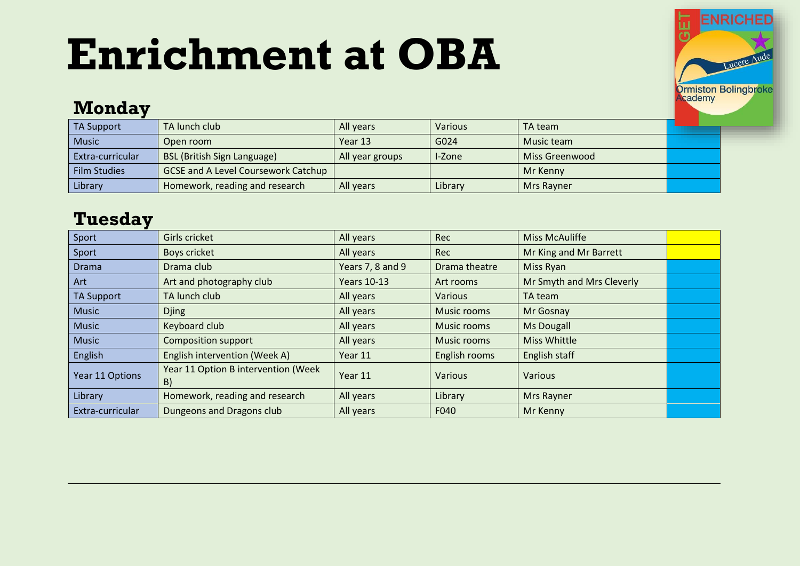# **Enrichment at OBA**



#### **Monday**

| <b>TA Support</b>   | TA lunch club                              | All years       | Various | TA team        |  |
|---------------------|--------------------------------------------|-----------------|---------|----------------|--|
| <b>Music</b>        | Open room                                  | Year 13         | G024    | Music team     |  |
| Extra-curricular    | <b>BSL (British Sign Language)</b>         | All year groups | -Zone   | Miss Greenwood |  |
| <b>Film Studies</b> | <b>GCSE and A Level Coursework Catchup</b> |                 |         | Mr Kenny       |  |
| Library             | Homework, reading and research             | All vears       | Library | Mrs Rayner     |  |

#### **Tuesday**

| Sport             | Girls cricket                             | All years          | Rec            | <b>Miss McAuliffe</b>     |  |
|-------------------|-------------------------------------------|--------------------|----------------|---------------------------|--|
| Sport             | <b>Boys cricket</b>                       | All years          | <b>Rec</b>     | Mr King and Mr Barrett    |  |
| <b>Drama</b>      | Drama club                                | Years 7, 8 and 9   | Drama theatre  | Miss Ryan                 |  |
| Art               | Art and photography club                  | <b>Years 10-13</b> | Art rooms      | Mr Smyth and Mrs Cleverly |  |
| <b>TA Support</b> | TA lunch club                             | All years          | <b>Various</b> | TA team                   |  |
| <b>Music</b>      | <b>Djing</b>                              | All years          | Music rooms    | Mr Gosnay                 |  |
| <b>Music</b>      | Keyboard club                             | All years          | Music rooms    | <b>Ms Dougall</b>         |  |
| <b>Music</b>      | <b>Composition support</b>                | All years          | Music rooms    | <b>Miss Whittle</b>       |  |
| English           | English intervention (Week A)             | Year 11            | English rooms  | English staff             |  |
| Year 11 Options   | Year 11 Option B intervention (Week<br>B) | Year 11            | <b>Various</b> | <b>Various</b>            |  |
| Library           | Homework, reading and research            | All years          | Library        | <b>Mrs Rayner</b>         |  |
| Extra-curricular  | Dungeons and Dragons club                 | All years          | F040           | Mr Kenny                  |  |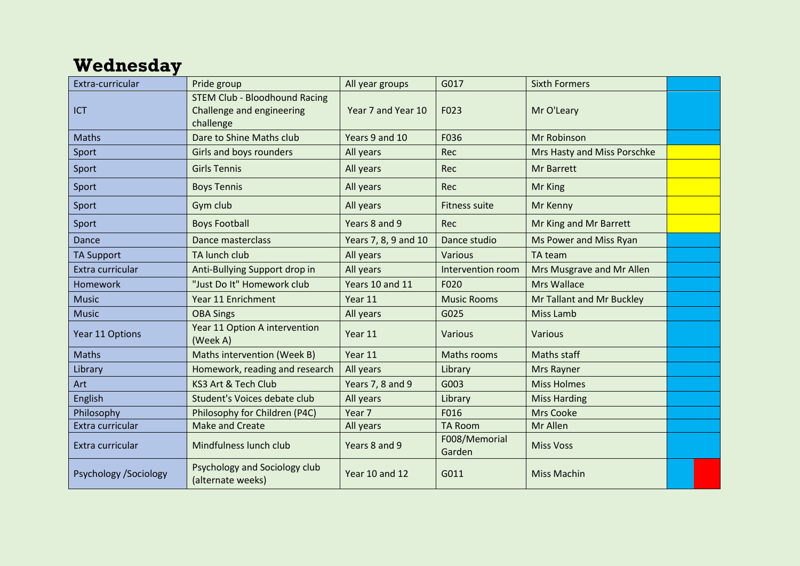### **Wednesday**

| Extra-curricular       | Pride group                                                                    | All year groups      | G017                    | <b>Sixth Formers</b>        |  |
|------------------------|--------------------------------------------------------------------------------|----------------------|-------------------------|-----------------------------|--|
| <b>ICT</b>             | <b>STEM Club - Bloodhound Racing</b><br>Challenge and engineering<br>challenge | Year 7 and Year 10   | F023                    | Mr O'Leary                  |  |
| Maths                  | Dare to Shine Maths club                                                       | Years 9 and 10       | F036                    | Mr Robinson                 |  |
| Sport                  | <b>Girls and boys rounders</b>                                                 | All years            | Rec                     | Mrs Hasty and Miss Porschke |  |
| Sport                  | <b>Girls Tennis</b>                                                            | All years            | Rec                     | Mr Barrett                  |  |
| Sport                  | <b>Boys Tennis</b>                                                             | All years            | <b>Rec</b>              | <b>Mr King</b>              |  |
| Sport                  | Gym club                                                                       | All years            | <b>Fitness suite</b>    | Mr Kenny                    |  |
| Sport                  | <b>Boys Football</b>                                                           | Years 8 and 9        | Rec                     | Mr King and Mr Barrett      |  |
| Dance                  | Dance masterclass                                                              | Years 7, 8, 9 and 10 | Dance studio            | Ms Power and Miss Ryan      |  |
| <b>TA Support</b>      | TA lunch club                                                                  | All years            | Various                 | TA team                     |  |
| Extra curricular       | Anti-Bullying Support drop in                                                  | All years            | Intervention room       | Mrs Musgrave and Mr Allen   |  |
| Homework               | "Just Do It" Homework club                                                     | Years 10 and 11      | F020                    | <b>Mrs Wallace</b>          |  |
| <b>Music</b>           | Year 11 Enrichment                                                             | Year 11              | <b>Music Rooms</b>      | Mr Tallant and Mr Buckley   |  |
| <b>Music</b>           | <b>OBA Sings</b>                                                               | All years            | G025                    | <b>Miss Lamb</b>            |  |
| Year 11 Options        | Year 11 Option A intervention<br>(Week A)                                      | Year 11              | Various                 | Various                     |  |
| <b>Maths</b>           | Maths intervention (Week B)                                                    | Year 11              | Maths rooms             | <b>Maths staff</b>          |  |
| Library                | Homework, reading and research                                                 | All years            | Library                 | <b>Mrs Rayner</b>           |  |
| Art                    | KS3 Art & Tech Club                                                            | Years 7, 8 and 9     | G003                    | <b>Miss Holmes</b>          |  |
| English                | Student's Voices debate club                                                   | All years            | Library                 | <b>Miss Harding</b>         |  |
| Philosophy             | Philosophy for Children (P4C)                                                  | Year 7               | F016                    | <b>Mrs Cooke</b>            |  |
| Extra curricular       | <b>Make and Create</b>                                                         | All years            | <b>TA Room</b>          | Mr Allen                    |  |
| Extra curricular       | Mindfulness lunch club                                                         | Years 8 and 9        | F008/Memorial<br>Garden | <b>Miss Voss</b>            |  |
| Psychology / Sociology | Psychology and Sociology club<br>(alternate weeks)                             | Year 10 and 12       | G011                    | <b>Miss Machin</b>          |  |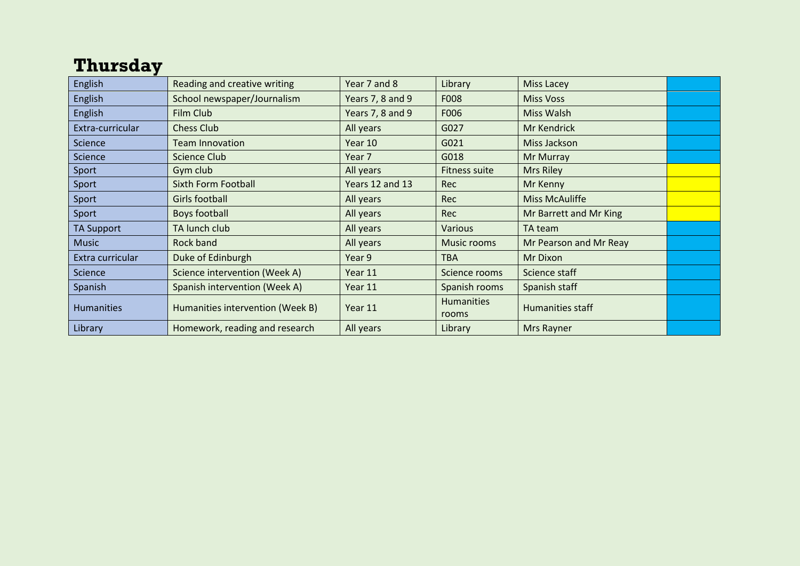#### **Thursday**

| English           | Reading and creative writing     | Year 7 and 8     | Library                    | <b>Miss Lacey</b>       |  |
|-------------------|----------------------------------|------------------|----------------------------|-------------------------|--|
| English           | School newspaper/Journalism      | Years 7, 8 and 9 | F008                       | <b>Miss Voss</b>        |  |
| English           | Film Club                        | Years 7, 8 and 9 | F006                       | Miss Walsh              |  |
| Extra-curricular  | <b>Chess Club</b>                | All years        | G027                       | Mr Kendrick             |  |
| Science           | <b>Team Innovation</b>           | Year 10          | G021                       | Miss Jackson            |  |
| Science           | Science Club                     | Year 7           | G018                       | Mr Murray               |  |
| Sport             | Gym club                         | All years        | <b>Fitness suite</b>       | Mrs Riley               |  |
| Sport             | <b>Sixth Form Football</b>       | Years 12 and 13  | <b>Rec</b>                 | Mr Kenny                |  |
| Sport             | Girls football                   | All years        | <b>Rec</b>                 | <b>Miss McAuliffe</b>   |  |
| Sport             | Boys football                    | All years        | <b>Rec</b>                 | Mr Barrett and Mr King  |  |
| <b>TA Support</b> | TA lunch club                    | All years        | <b>Various</b>             | TA team                 |  |
| <b>Music</b>      | Rock band                        | All years        | Music rooms                | Mr Pearson and Mr Reay  |  |
| Extra curricular  | Duke of Edinburgh                | Year 9           | <b>TBA</b>                 | Mr Dixon                |  |
| Science           | Science intervention (Week A)    | Year 11          | Science rooms              | Science staff           |  |
| Spanish           | Spanish intervention (Week A)    | Year 11          | Spanish rooms              | Spanish staff           |  |
| <b>Humanities</b> | Humanities intervention (Week B) | Year 11          | <b>Humanities</b><br>rooms | <b>Humanities staff</b> |  |
| Library           | Homework, reading and research   | All years        | Library                    | Mrs Rayner              |  |